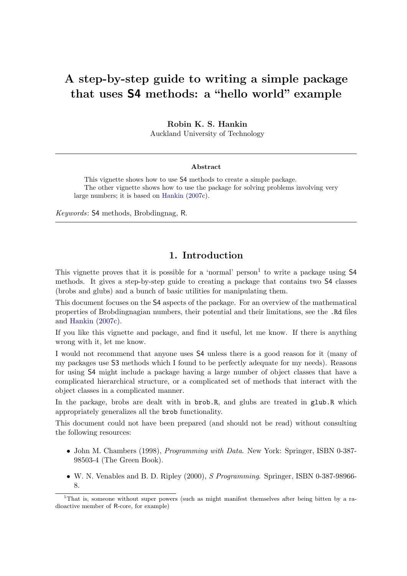# A step-by-step guide to writing a simple package that uses S4 methods: a "hello world" example

Robin K. S. Hankin

Auckland University of Technology

#### Abstract

This vignette shows how to use S4 methods to create a simple package. The other vignette shows how to use the package for solving problems involving very large numbers; it is based on [Hankin](#page-19-0) [\(2007c\)](#page-19-0).

Keywords: S4 methods, Brobdingnag, R.

# 1. Introduction

This vignette proves that it is possible for a 'normal' person<sup>[1](#page-0-0)</sup> to write a package using  $\mathsf{S4}$ methods. It gives a step-by-step guide to creating a package that contains two S4 classes (brobs and glubs) and a bunch of basic utilities for manipulating them.

This document focuses on the S4 aspects of the package. For an overview of the mathematical properties of Brobdingnagian numbers, their potential and their limitations, see the .Rd files and [Hankin](#page-19-0) [\(2007c\)](#page-19-0).

If you like this vignette and package, and find it useful, let me know. If there is anything wrong with it, let me know.

I would not recommend that anyone uses S4 unless there is a good reason for it (many of my packages use S3 methods which I found to be perfectly adequate for my needs). Reasons for using S4 might include a package having a large number of object classes that have a complicated hierarchical structure, or a complicated set of methods that interact with the object classes in a complicated manner.

In the package, brobs are dealt with in brob.R, and glubs are treated in glub.R which appropriately generalizes all the brob functionality.

This document could not have been prepared (and should not be read) without consulting the following resources:

- John M. Chambers (1998), *Programming with Data*. New York: Springer, ISBN 0-387-98503-4 (The Green Book).
- W. N. Venables and B. D. Ripley (2000), S. Programming. Springer, ISBN 0-387-98966-8.

<span id="page-0-0"></span><sup>&</sup>lt;sup>1</sup>That is, someone without super powers (such as might manifest themselves after being bitten by a radioactive member of R-core, for example)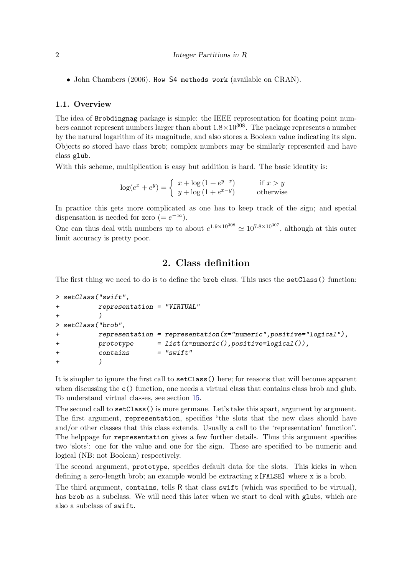• John Chambers (2006). How S4 methods work (available on CRAN).

#### 1.1. Overview

The idea of Brobdingnag package is simple: the IEEE representation for floating point numbers cannot represent numbers larger than about  $1.8 \times 10^{308}$ . The package represents a number by the natural logarithm of its magnitude, and also stores a Boolean value indicating its sign. Objects so stored have class brob; complex numbers may be similarly represented and have class glub.

With this scheme, multiplication is easy but addition is hard. The basic identity is:

$$
\log(e^x + e^y) = \begin{cases} x + \log(1 + e^{y-x}) & \text{if } x > y \\ y + \log(1 + e^{x-y}) & \text{otherwise} \end{cases}
$$

In practice this gets more complicated as one has to keep track of the sign; and special dispensation is needed for zero (=  $e^{-\infty}$ ).

One can thus deal with numbers up to about  $e^{1.9 \times 10^{308}} \approx 10^{7.8 \times 10^{307}}$ , although at this outer limit accuracy is pretty poor.

## 2. Class definition

The first thing we need to do is to define the brob class. This uses the setClass() function:

```
> setClass("swift",
+ representation = "VIRTUAL"
+ )
> setClass("brob",
+ representation = representation(x="numeric",positive="logical"),
+ prototype = list(x=numeric(),positive=logical()),
+ contains = "swift"
+ )
```
It is simpler to ignore the first call to setClass() here; for reasons that will become apparent when discussing the c() function, one needs a virtual class that contains class brob and glub. To understand virtual classes, see section [15.](#page-15-0)

The second call to  $setClass()$  is more germane. Let's take this apart, argument by argument. The first argument, representation, specifies "the slots that the new class should have and/or other classes that this class extends. Usually a call to the 'representation' function". The helppage for representation gives a few further details. Thus this argument specifies two 'slots': one for the value and one for the sign. These are specified to be numeric and logical (NB: not Boolean) respectively.

The second argument, prototype, specifies default data for the slots. This kicks in when defining a zero-length brob; an example would be extracting x[FALSE] where x is a brob.

The third argument, contains, tells R that class swift (which was specified to be virtual), has brob as a subclass. We will need this later when we start to deal with glubs, which are also a subclass of swift.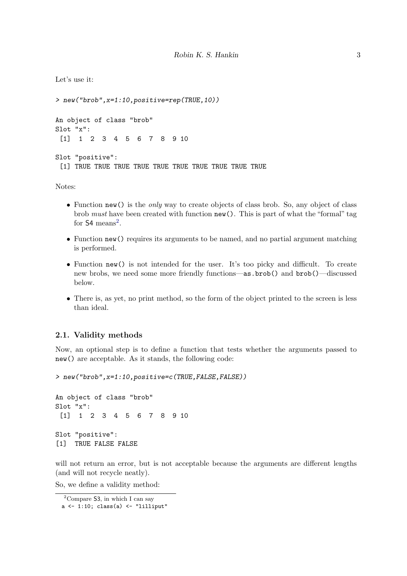```
Let's use it:
```

```
> new("brob",x=1:10,positive=rep(TRUE,10))
An object of class "brob"
Slot "x":
 [1] 1 2 3 4 5 6 7 8 9 10
Slot "positive":
 [1] TRUE TRUE TRUE TRUE TRUE TRUE TRUE TRUE TRUE TRUE
```
Notes:

- Function new() is the *only* way to create objects of class brob. So, any object of class brob must have been created with function new(). This is part of what the "formal" tag for  $S4$  means<sup>[2](#page-2-0)</sup>.
- Function new () requires its arguments to be named, and no partial argument matching is performed.
- Function new() is not intended for the user. It's too picky and difficult. To create new brobs, we need some more friendly functions—as.brob() and brob()—discussed below.
- There is, as yet, no print method, so the form of the object printed to the screen is less than ideal.

#### 2.1. Validity methods

Now, an optional step is to define a function that tests whether the arguments passed to new() are acceptable. As it stands, the following code:

```
> new("brob",x=1:10,positive=c(TRUE,FALSE,FALSE))
```

```
An object of class "brob"
Slot "x":
[1] 1 2 3 4 5 6 7 8 9 10
Slot "positive":
[1] TRUE FALSE FALSE
```
will not return an error, but is not acceptable because the arguments are different lengths (and will not recycle neatly).

So, we define a validity method:

<span id="page-2-0"></span><sup>&</sup>lt;sup>2</sup>Compare 53, in which I can say

 $a \leftarrow 1:10$ ; class(a) <- "lilliput"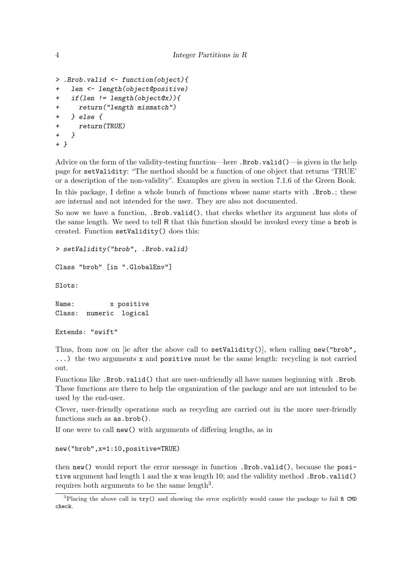```
> .Brob.valid <- function(object){
+ len <- length(object@positive)
+ if(len != length(object@x)){
+ return("length mismatch")
+ } else {
+ return(TRUE)
+ }
+ }
```
Advice on the form of the validity-testing function—here .Brob.valid()—is given in the help page for setValidity: "The method should be a function of one object that returns 'TRUE' or a description of the non-validity". Examples are given in section 7.1.6 of the Green Book.

In this package, I define a whole bunch of functions whose name starts with .Brob.; these are internal and not intended for the user. They are also not documented.

So now we have a function, .Brob.valid(), that checks whether its argument has slots of the same length. We need to tell R that this function should be invoked every time a brob is created. Function setValidity() does this:

```
> setValidity("brob", .Brob.valid)
```

```
Class "brob" [in ".GlobalEnv"]
```
Slots:

```
Name: x positive
Class: numeric logical
```

```
Extends: "swift"
```
Thus, from now on [ie after the above call to  $setValidity()$ ], when calling  $new("brob",$ ...) the two arguments x and positive must be the same length: recycling is not carried out.

Functions like .Brob.valid() that are user-unfriendly all have names beginning with .Brob. These functions are there to help the organization of the package and are not intended to be used by the end-user.

Clever, user-friendly operations such as recycling are carried out in the more user-friendly functions such as as.brob().

If one were to call new() with arguments of differing lengths, as in

new("brob",x=1:10,positive=TRUE)

then new() would report the error message in function .Brob.valid(), because the positive argument had length 1 and the x was length 10; and the validity method .Brob.valid() requires both arguments to be the same length<sup>[3](#page-3-0)</sup>.

<span id="page-3-0"></span><sup>3</sup>Placing the above call in try() and showing the error explicitly would cause the package to fail R CMD check.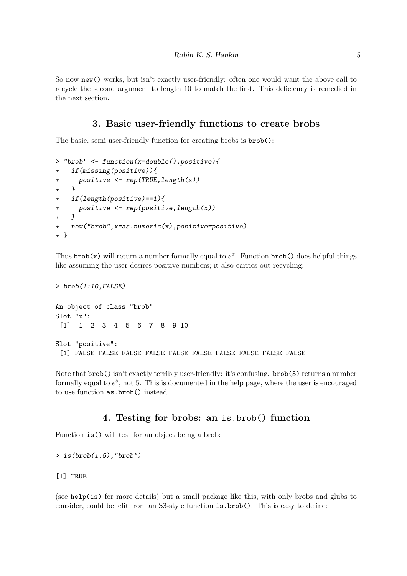So now new() works, but isn't exactly user-friendly: often one would want the above call to recycle the second argument to length 10 to match the first. This deficiency is remedied in the next section.

## 3. Basic user-friendly functions to create brobs

The basic, semi user-friendly function for creating brobs is brob():

```
> "brob" <- function(x=double(),positive){
+ if(missing(positive)){
+ positive <- rep(TRUE,length(x))
+ }
+ if(length(positive)==1){
+ positive <- rep(positive,length(x))
+ }
+ new("brob",x=as.numeric(x),positive=positive)
+ }
```
Thus  $\text{brob}(x)$  will return a number formally equal to  $e^x$ . Function  $\text{brob}(x)$  does helpful things like assuming the user desires positive numbers; it also carries out recycling:

```
> brob(1:10, FALSE)An object of class "brob"
Slot "x":
 [1] 1 2 3 4 5 6 7 8 9 10
Slot "positive":
 [1] FALSE FALSE FALSE FALSE FALSE FALSE FALSE FALSE FALSE FALSE
```
Note that brob() isn't exactly terribly user-friendly: it's confusing. brob(5) returns a number formally equal to  $e^5$ , not 5. This is documented in the help page, where the user is encouraged to use function as.brob() instead.

# 4. Testing for brobs: an is.brob() function

Function is() will test for an object being a brob:

 $>$  is(brob(1:5), "brob")

#### [1] TRUE

(see help(is) for more details) but a small package like this, with only brobs and glubs to consider, could benefit from an S3-style function is.brob(). This is easy to define: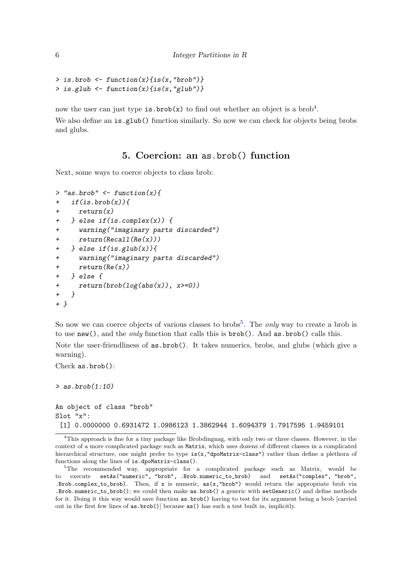```
> is.brob \leftarrow function(x){is(x,"brob")}
> is.glub \leftarrow function(x){is(x,"glub")}
```
now the user can just type is. brob(x) to find out whether an object is a brob<sup>[4](#page-5-0)</sup>. We also define an is.glub() function similarly. So now we can check for objects being brobs and glubs.

## 5. Coercion: an as.brob() function

Next, some ways to coerce objects to class brob:

```
> "as.brob" \leq function(x){
+ if(is.brob(x)){
+ return(x)
+ } else if(is.complex(x)) {
+ warning("imaginary parts discarded")
+ return(Recall(Re(x)))
+ } else if(is.glub(x)){
+ warning("imaginary parts discarded")
+ return(Re(x))
+ } else {
+ return(brob(log(abs(x)), x>=0))+ }
+ }
```
So now we can coerce objects of various classes to brobs<sup>[5](#page-5-1)</sup>. The *only* way to create a brob is to use new(), and the *only* function that calls this is  $brob()$ . And  $a s.brob()$  calls this.

Note the user-friendliness of as.brob(). It takes numerics, brobs, and glubs (which give a warning).

```
Check as.brob():
```
 $>$  as.brob $(1:10)$ 

```
An object of class "brob"
Slot "x":
 [1] 0.0000000 0.6931472 1.0986123 1.3862944 1.6094379 1.7917595 1.9459101
```
<span id="page-5-0"></span><sup>&</sup>lt;sup>4</sup>This approach is fine for a tiny package like Brobdingnag, with only two or three classes. However, in the context of a more complicated package such as Matrix, which uses dozens of different classes in a complicated hierarchical structure, one might prefer to type is(x,"dpoMatrix-class") rather than define a plethora of functions along the lines of is.dpoMatrix-class().

<span id="page-5-1"></span><sup>&</sup>lt;sup>5</sup>The recommended way, appropriate for a complicated package such as Matrix, would be to execute setAs("numeric", "brob", .Brob.numeric\_to\_brob) and setAs("complex", "brob", .Brob.complex\_to\_brob). Then, if x is numeric,  $as(x, "brob")$  would return the appropriate brob via .Brob.numeric\_to\_brob(); we could then make as.brob() a generic with setGeneric() and define methods for it. Doing it this way would save function as.brob() having to test for its argument being a brob [carried out in the first few lines of as.brob()] because as() has such a test built in, implicitly.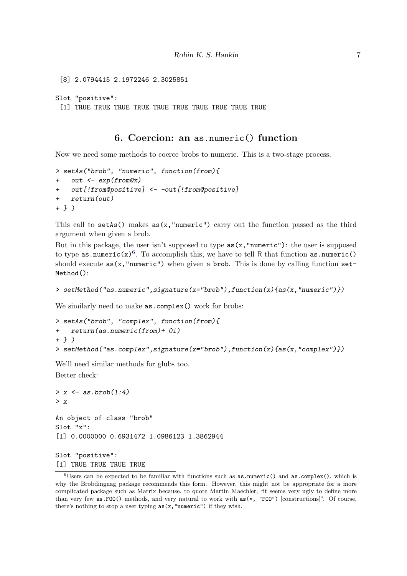```
[8] 2.0794415 2.1972246 2.3025851
Slot "positive":
 [1] TRUE TRUE TRUE TRUE TRUE TRUE TRUE TRUE TRUE TRUE
```
#### 6. Coercion: an as.numeric() function

Now we need some methods to coerce brobs to numeric. This is a two-stage process.

```
> setAs("brob", "numeric", function(from){
    out \leftarrow exp(from@x)
    out[!from@positive] <- -out[!from@positive]
+ return(out)
+ } )
```
This call to  $setAs()$  makes  $as(x, "numeric")$  carry out the function passed as the third argument when given a brob.

But in this package, the user isn't supposed to type  $as(x, "numeric")$ : the user is supposed to type as numeric(x)<sup>[6](#page-6-0)</sup>. To accomplish this, we have to tell R that function as numeric() should execute  $as(x, "numeric")$  when given a brob. This is done by calling function  $set^-$ Method():

```
> setMethod("as.numeric",signature(x="brob"),function(x){as(x,"numeric")})
```
We similarly need to make as.complex() work for brobs:

```
> setAs("brob", "complex", function(from){
+ return(as.numeric(from)+ 0i)
+ } )
> setMethod("as.complex",signature(x="brob"),function(x){as(x,"complex")})
```
We'll need similar methods for glubs too. Better check:

 $> x \leftarrow as.brob(1:4)$ > x An object of class "brob" Slot "x": [1] 0.0000000 0.6931472 1.0986123 1.3862944

Slot "positive": [1] TRUE TRUE TRUE TRUE

<span id="page-6-0"></span> $6$ Users can be expected to be familiar with functions such as as.numeric() and as.complex(), which is why the Brobdingnag package recommends this form. However, this might not be appropriate for a more complicated package such as Matrix because, to quote Martin Maechler, "it seems very ugly to define more than very few as.FOO() methods, and very natural to work with as(\*, "FOO") [constructions]". Of course, there's nothing to stop a user typing  $as(x, "numeric")$  if they wish.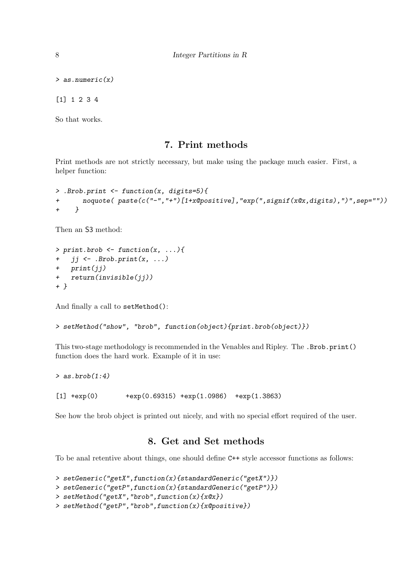> as.numeric(x)

[1] 1 2 3 4

So that works.

### 7. Print methods

Print methods are not strictly necessary, but make using the package much easier. First, a helper function:

```
> .Brob.print <- function(x, digits=5){
+ noquote( paste(c("-","+")[1+x@positive],"exp(",signif(x@x,digits),")",sep=""))
+ }
```
Then an S3 method:

```
> print.brob \leq function(x, \ldots)+ ji \leftarrow .Brob.print(x, ...)+ print(jj)
+ return(invisible(jj))
+ }
```
And finally a call to setMethod():

> setMethod("show", "brob", function(object){print.brob(object)})

This two-stage methodology is recommended in the Venables and Ripley. The .Brob.print() function does the hard work. Example of it in use:

```
> as.brob(1:4)[1] +exp(0) +exp(0.69315) +exp(1.0986) +exp(1.3863)
```
See how the brob object is printed out nicely, and with no special effort required of the user.

### 8. Get and Set methods

To be anal retentive about things, one should define C++ style accessor functions as follows:

```
> setGeneric("getX",function(x){standardGeneric("getX")})
> setGeneric("getP",function(x){standardGeneric("getP")})
> setMethod("getX","brob",function(x){x@x})
> setMethod("getP","brob",function(x){x@positive})
```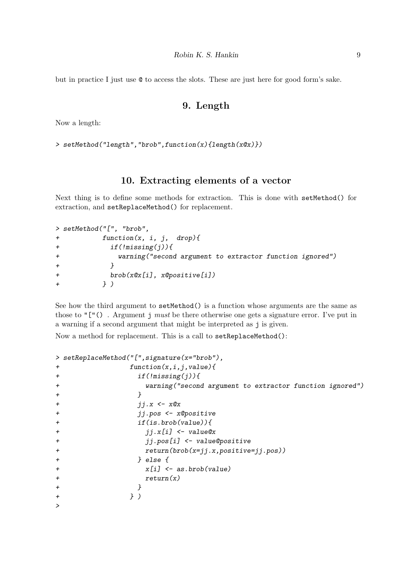but in practice I just use @ to access the slots. These are just here for good form's sake.

### 9. Length

Now a length:

> setMethod("length","brob",function(x){length(x@x)})

#### 10. Extracting elements of a vector

Next thing is to define some methods for extraction. This is done with setMethod() for extraction, and setReplaceMethod() for replacement.

```
> setMethod("[", "brob",
+ function(x, i, j, drop){
+ if(!missing(j)){
+ warning("second argument to extractor function ignored")
+ }
+ brob(x@x[i], x@positive[i])
+ } )
```
See how the third argument to setMethod() is a function whose arguments are the same as those to " $[$ "(). Argument j must be there otherwise one gets a signature error. I've put in a warning if a second argument that might be interpreted as j is given.

Now a method for replacement. This is a call to setReplaceMethod():

```
> setReplaceMethod("[",signature(x="brob"),
+ function(x,i,j,value){
+ if(!missing(j)){
+ warning("second argument to extractor function ignored")
+ }
+ jj.x <- x@x
+ jj.pos <- x@positive
+ if(is.brob(value)){
+ jj.x[i] <- value@x
+ jj.pos[i] <- value@positive
+ return(brob(x=jj.x,positive=jj.pos))
+ } else {
+ x[i] <- as.brob(value)
+ return(x)
+ }
+ } )
>
```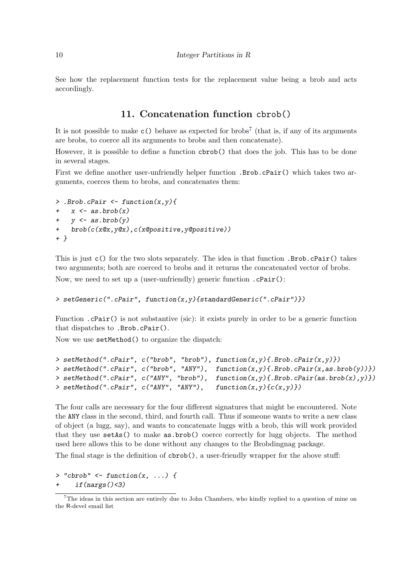See how the replacement function tests for the replacement value being a brob and acts accordingly.

### 11. Concatenation function cbrob()

It is not possible to make  $c()$  behave as expected for brobs<sup>[7](#page-9-0)</sup> (that is, if any of its arguments are brobs, to coerce all its arguments to brobs and then concatenate).

However, it is possible to define a function cbrob() that does the job. This has to be done in several stages.

First we define another user-unfriendly helper function .Brob.cPair() which takes two arguments, coerces them to brobs, and concatenates them:

```
> .Brob.cPair \leftarrow function(x, y){
    x \leftarrow as.brob(x)y \leftarrow as.brob(y)brob(c(x@x,y@x),c(x@positive,y@positive))+ }
```
This is just c() for the two slots separately. The idea is that function .Brob.cPair() takes two arguments; both are coerced to brobs and it returns the concatenated vector of brobs. Now, we need to set up a (user-unfriendly) generic function .cPair():

#### > setGeneric(".cPair", function(x,y){standardGeneric(".cPair")})

Function .cPair() is not substantive (sic): it exists purely in order to be a generic function that dispatches to .Brob.cPair().

Now we use setMethod() to organize the dispatch:

```
> setMethod(".cPair", c("brob", "brob"), function(x, y) {.Brob.cPair(x,y) })
> setMethod(".cPair", c("brob", "ANY"), function(x,y){.Brob.cPair(x,as.brob(y))})
> setMethod(".cPair", c("ANY", "brob"), function(x,y){.Brob.cPair(as.brob(x),y)})
> setMethod(".cPair", c("ANY", "ANY"), function(x, y){c(x, y)})
```
The four calls are necessary for the four different signatures that might be encountered. Note the ANY class in the second, third, and fourth call. Thus if someone wants to write a new class of object (a lugg, say), and wants to concatenate luggs with a brob, this will work provided that they use setAs() to make as.brob() coerce correctly for lugg objects. The method used here allows this to be done without any changes to the Brobdingnag package.

The final stage is the definition of cbrob(), a user-friendly wrapper for the above stuff:

 $>$  "cbrob"  $\leq$  function(x, ...) {  $if(nargs() < 3)$ 

<span id="page-9-0"></span><sup>7</sup>The ideas in this section are entirely due to John Chambers, who kindly replied to a question of mine on the R-devel email list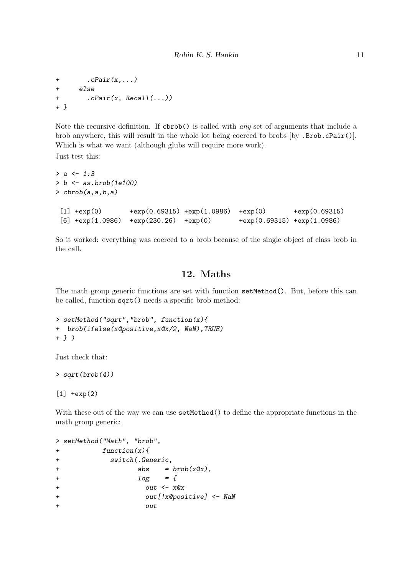```
+ . cPair(x, \ldots)+ else
+ .cPair(x, Recall(...))
+ }
```
Note the recursive definition. If  $cbrob()$  is called with *any* set of arguments that include a brob anywhere, this will result in the whole lot being coerced to brobs [by .Brob.cPair()]. Which is what we want (although glubs will require more work).

Just test this:

```
> a < -1:3> b \leq -as.brob(1e100)\gt cbrob(a,a,b,a)
[1] +exp(0) +exp(0.69315) +exp(1.0986) +exp(0) +exp(0.69315)
[6] +exp(1.0986) +exp(230.26) +exp(0) +exp(0.69315) +exp(1.0986)
```
So it worked: everything was coerced to a brob because of the single object of class brob in the call.

# 12. Maths

The math group generic functions are set with function setMethod(). But, before this can be called, function sqrt() needs a specific brob method:

```
> setMethod("sqrt","brob", function(x){
+ brob(ifelse(x@positive,x@x/2, NaN),TRUE)
+ } )
```
Just check that:

```
> sqrt(brob(4))
```
 $[1]$  +exp(2)

With these out of the way we can use  $setMethod()$  to define the appropriate functions in the math group generic:

```
> setMethod("Math", "brob",
+ function(x){
+ switch(.Generic,
+ abs = brob(x@x),
+ log = {+ \qquad \qquad \text{out} \leq -x \text{\textit{Q}} x+ out[!x@positive] <- NaN
+ out
```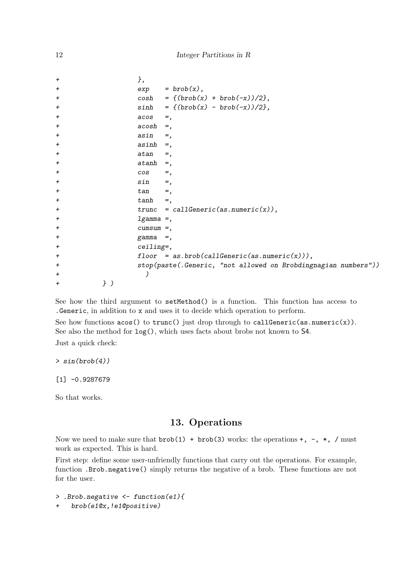| $\pmb{+}$    | },           |                                                                |
|--------------|--------------|----------------------------------------------------------------|
| $\ddot{}$    |              | $exp = brob(x),$                                               |
| $\div$       |              | $cosh = \{(brob(x) + brob(-x))/2\},\$                          |
| $\pmb{+}$    |              | $sinh = \left( (brob(x) - brob(-x))/2 \right),$                |
| $\ddot{}$    | acos         | $=$ ,                                                          |
| $\pmb{+}$    | acosh        | $=$ ,                                                          |
| $\div$       | asin         | $=$ ,                                                          |
| $\pmb{+}$    | asinh        | $=$ .                                                          |
| $\div$       | atan         | $=$ ,                                                          |
| $\div$       | $atanh =$ ,  |                                                                |
| $\pmb{+}$    | cos          | $=$ ,                                                          |
| $\pmb{+}$    | sin          | $=$ ,                                                          |
| $\pmb{+}$    | tan          | $=$ ,                                                          |
| $\pmb{+}$    | tanh         | $=$ ,                                                          |
| $\pmb{+}$    |              | trunc = callGeneric(as.numeric(x)),                            |
| $\ddot{}$    | $lgamma =$ , |                                                                |
| $\pmb{+}$    | $cumsum =$ , |                                                                |
| $\pmb{+}$    | gamma        | $=$ ,                                                          |
| $\ddot{}$    | $ceiling=$ , |                                                                |
| $\pmb{+}$    |              | $floor = as.brob(callGenerator(a.s.numeric(x))),$              |
| $\pmb{+}$    |              | stop(paste(.Generic, "not allowed on Brobdingnagian numbers")) |
| $\div$       |              |                                                                |
| })<br>$\div$ |              |                                                                |

See how the third argument to setMethod() is a function. This function has access to .Generic, in addition to x and uses it to decide which operation to perform.

See how functions  $\text{acos}(x)$  to  $\text{trunc}(x)$  just drop through to callGeneric(as.numeric(x)). See also the method for log(), which uses facts about brobs not known to S4. Just a quick check:

 $> sin(brob(4))$ 

[1] -0.9287679

So that works.

### 13. Operations

Now we need to make sure that  $brob(1) + brob(3)$  works: the operations  $+, -, *, /$  must work as expected. This is hard.

First step: define some user-unfriendly functions that carry out the operations. For example, function .Brob.negative() simply returns the negative of a brob. These functions are not for the user.

> .Brob.negative <- function(e1){

+ brob(e1@x,!e1@positive)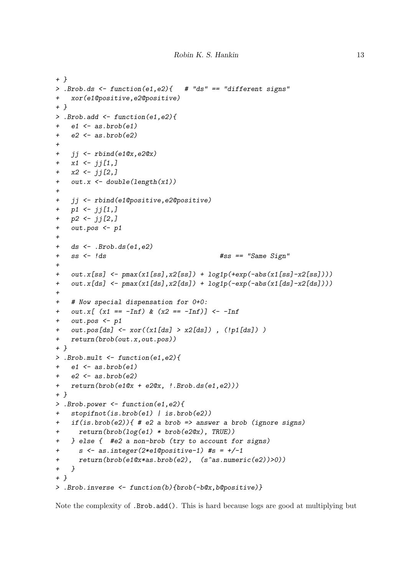```
+ }
> .Brob.ds <- function(e1,e2){ # "ds" == "different signs"
+ xor(e1@positive,e2@positive)
+ }
> .Brob.add \leq function(e1,e2){
+ e1 \leftarrow as.brob(e1)
+ e2 \leftarrow as.brob(e2)
+
   jj \leftarrow rbind(e1@x,e2@x)
+ x1 <- jj[1,]
+ x2 \leftarrow jj[2,]+ out.x <- double(length(x1))
+
+ jj <- rbind(e1@positive,e2@positive)
+ p1 \leftarrow jj[1,]+ p2 \leftarrow jj[2,]+ out.pos <- p1
+
+ ds \leftarrow . Brob.ds(e1,e2)
+ ss <- !ds #ss == "Same Sign"
+
+ out.x[ss] \leftarrow pmax(x1[ss],x2[ss]) + log1p(+exp(-abs(x1[ss]-x2[ss])))
+ out.x[ds] \leftarrow pmax(x1[ds], x2[ds]) + log1p(-exp(-abs(x1[ds]-x2[ds])))+
+ # Now special dispensation for 0+0:
+ out.x[ (x1 == -Inf) & (x2 == -Inf)] <--Inf
+ out.pos <- p1
+ out.pos[ds] <- xor((x1[ds] > x2[ds]) , (!p1[ds]) )
+ return(brob(out.x,out.pos))
+ }
> .Brob.mult <- function(e1,e2){
+ e1 \leq as. brob(e1)
   e2 \leftarrow as.brob(e2)+ return(brob(e1@x + e2@x, !.Brob.ds(e1,e2)))
+ }
> .Brob.power <- function(e1,e2){
+ stopifnot(is.brob(e1) | is.brob(e2))
+ if(is.brob(e2)){ # e2 a brob => answer a brob (ignore signs)
+ return(brob(log(e1) * brob(e2@x), TRUE))
+ } else { #e2 a non-brob (try to account for signs)
+ s \le as.integer(2*e1@positive-1) #s = +/-1+ return(brob(e1@x*as.brob(e2), (s^as.numeric(e2))>0))
+ }
+ }
> .Brob.inverse <- function(b){brob(-b@x,b@positive)}
```
Note the complexity of .Brob.add(). This is hard because logs are good at multiplying but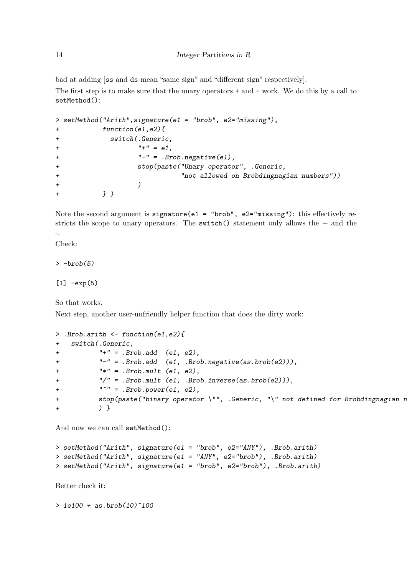bad at adding [ss and ds mean "same sign" and "different sign" respectively].

The first step is to make sure that the unary operators + and - work. We do this by a call to setMethod():

```
> setMethod("Arith",signature(e1 = "brob", e2="missing"),
+ function(e1,e2){
+ switch(.Generic,
+ "+" = e1.
+ "-" = .Brob.negative(e1),
+ stop(paste("Unary operator", .Generic,
+ "not allowed on Brobdingnagian numbers"))
+ )
+ } )
```
Note the second argument is signature(e1 = "brob", e2="missing"): this effectively restricts the scope to unary operators. The switch() statement only allows the  $+$  and the -.

Check:

 $>$  -brob(5)

 $[1]$   $-exp(5)$ 

So that works.

Next step, another user-unfriendly helper function that does the dirty work:

```
> .Brob.arith <- function(e1,e2){
+ switch(.Generic,
+ "+" = .Brob.add (e1, e2),
+ "-" = .Brob.add (e1, .Brob.negative(as.brob(e2))),
+ "*" = .Brob.mult (e1, e2),
+ "/" = .Brob.mult (e1, .Brob.inverse(as.brob(e2))),
+ "'' = .Brob.power(e1, e2),stop(paste("binary operator \"", .Generic, "\" not defined for Brobdingnagian n
+ ) }
```
And now we can call setMethod():

```
> setMethod("Arith", signature(e1 = "brob", e2="ANY"), .Brob.arith)
> setMethod("Arith", signature(e1 = "ANY", e2="brob"), .Brob.arith)
> setMethod("Arith", signature(e1 = "brob", e2="brob"), .Brob.arith)
```
Better check it:

 $>$  1e100 + as.brob(10)^100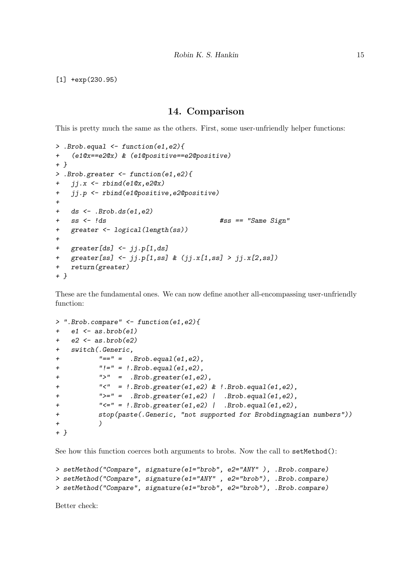[1] +exp(230.95)

#### 14. Comparison

This is pretty much the same as the others. First, some user-unfriendly helper functions:

```
> .Brob.equal <- function(e1,e2){
+ (e1@x==e2@x) & (e1@positive==e2@positive)
+ }
> .Brob.greater <- function(e1,e2){
+ jj.x <- rbind(e1@x,e2@x)
+ jj.p <- rbind(e1@positive,e2@positive)
+
+ ds \leftarrow . Brob.ds(e1,e2)
+ ss <- !ds #ss == "Same Sign"
+ greater <- logical(length(ss))
++ greater[ds] <- jj.p[1,ds]
+ greater[ss] <- jj.p[1,ss] & (jj.x[1,ss] > jj.x[2,ss])
+ return(greater)
+ }
```
These are the fundamental ones. We can now define another all-encompassing user-unfriendly function:

```
> ".Brob.compare" <- function(e1,e2){
+ e1 <- as.brob(e1)
+ e2 \leftarrow as.brob(e2)
+ switch(.Generic,
+ "==" = .Brob.equals(e1, e2),
+ "!=" = !.Brob.equal(e1,e2),
+ " = .Brob.greater(e1,e2),
+ "<" = !.Brob.greater(e1,e2) & !.Brob.equal(e1,e2),
+ ">=" = .Brob.greater(e1,e2) | .Brob.equal(e1,e2),
+ "<=" = !.Brob.greater(e1,e2) | .Brob.equal(e1,e2),
+ stop(paste(.Generic, "not supported for Brobdingnagian numbers"))
+ )
+ }
```
See how this function coerces both arguments to brobs. Now the call to setMethod():

```
> setMethod("Compare", signature(e1="brob", e2="ANY" ), .Brob.compare)
> setMethod("Compare", signature(e1="ANY" , e2="brob"), .Brob.compare)
> setMethod("Compare", signature(e1="brob", e2="brob"), .Brob.compare)
```
Better check: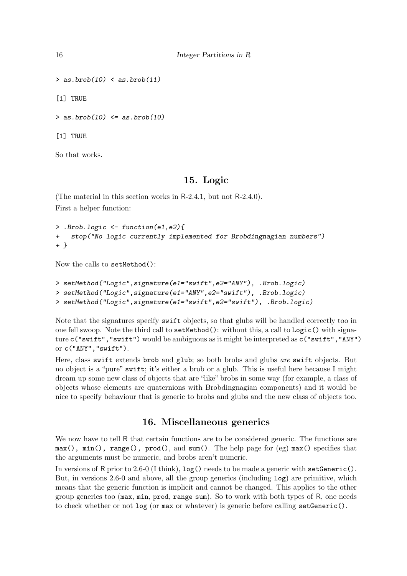```
> as.brob(10) < as.brob(11)
```
[1] TRUE

 $>$  as.brob(10)  $\leq$  as.brob(10)

[1] TRUE

So that works.

### 15. Logic

<span id="page-15-0"></span>(The material in this section works in R-2.4.1, but not R-2.4.0). First a helper function:

```
> .Brob.logic <- function(e1,e2){
  stop("No logic currently implemented for Brobdingnagian numbers")
+ }
```
Now the calls to setMethod():

```
> setMethod("Logic",signature(e1="swift",e2="ANY"), .Brob.logic)
> setMethod("Logic",signature(e1="ANY",e2="swift"), .Brob.logic)
> setMethod("Logic",signature(e1="swift",e2="swift"), .Brob.logic)
```
Note that the signatures specify swift objects, so that glubs will be handled correctly too in one fell swoop. Note the third call to setMethod(): without this, a call to Logic() with signature c("swift","swift") would be ambiguous as it might be interpreted as c("swift","ANY") or c("ANY","swift").

Here, class swift extends brob and glub; so both brobs and glubs are swift objects. But no object is a "pure" swift; it's either a brob or a glub. This is useful here because I might dream up some new class of objects that are "like" brobs in some way (for example, a class of objects whose elements are quaternions with Brobdingnagian components) and it would be nice to specify behaviour that is generic to brobs and glubs and the new class of objects too.

## 16. Miscellaneous generics

We now have to tell R that certain functions are to be considered generic. The functions are max(), min(), range(), prod(), and sum(). The help page for (eg) max() specifies that the arguments must be numeric, and brobs aren't numeric.

In versions of R prior to 2.6-0 (I think),  $log()$  needs to be made a generic with  $setGenerator()$ . But, in versions 2.6-0 and above, all the group generics (including log) are primitive, which means that the generic function is implicit and cannot be changed. This applies to the other group generics too (max, min, prod, range sum). So to work with both types of R, one needs to check whether or not log (or max or whatever) is generic before calling setGeneric().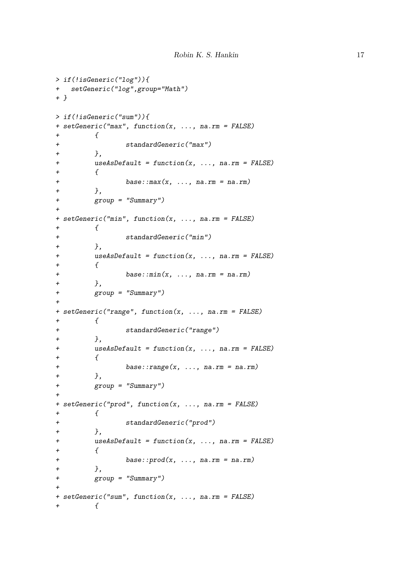```
> if(!isGeneric("log")){
+ setGeneric("log",group="Math")
+ }
> if(!isGeneric("sum")){
+ setGeneric("max", function(x, ..., na.rm = FALSE)
+ {
+ standardGeneric("max")
        \},
+ useAsDefault = function(x, ..., na.rm = FALSE)
+ {
              base::max(x, ..., na.rm = na.rm)+ },
+ group = "Summary")
+
+ setGeneric("min", function(x, ..., na.rm = FALSE)
        \mathcal{L}+ standardGeneric("min")
+ },
        useAsDefault = function(x, ..., na.rm = FALSE)+ {
+ base::min(x, \ldots, na.rm = na.rm)+ },
+ group = "Summary")
+
+ setGeneric("range", function(x, ..., na.rm = FALSE)
+ {
+ standardGeneric("range")
+ },
+ useAsDefault = function(x, ..., na.rm = FALSE)
+ {
              base::range(x, ..., na.rm = na.rm)+ },
+ group = "Summary")
+
+ setGeneric("prod", function(x, ..., na.rm = FALSE)
        \mathcal{L}+ standardGeneric("prod")
+ },
+ useAsDefault = function(x, ..., na.rm = FALSE)
+ {
              base::prod(x, ..., na.rm = na.rm)+ },
+ group = "Summary")
+
+ setGeneric("sum", function(x, ..., na.rm = FALSE)
+ {
```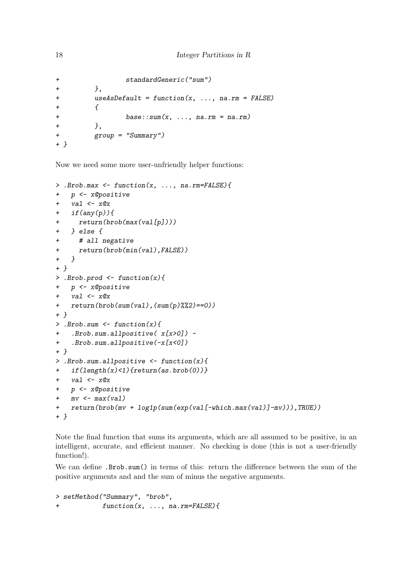```
+ standardGeneric("sum")
+ },
+ useAsDefault = function(x, ..., na.rm = FALSE)
+ {
+ base::sum(x, ..., na.rm = na.rm)
+ },
+ group = "Summary")
+ }
```
Now we need some more user-unfriendly helper functions:

```
> .Brob.max <- function(x, ..., na.rm=FALSE){
+ p <- x@positive
+ val \leftarrow x@x+ if(any(p)){
+ return(brob(max(val[p])))
+ } else {
+ # all negative
+ return(brob(min(val),FALSE))
+ }
+ }
> .Brob.prod \leftarrow function(x){
+ p <- x@positive
+ val \leftarrow x@x+ return(brob(sum(val),(sum(p)%%2)==0))
+ }
> .Brob.sum \leq function(x){
+ .Brob.sum.allpositive( x[x>0]) -
+ .Brob.sum.allpositive(-x[x<0])
+ }
> .Brob.sum.allpositive <- function(x){
+ if(length(x)<1){return(as.brob(0))}
+ val \leftarrow x@x+ p <- x@positive
+ mv \leftarrow max(val)
+ return(brob(mv + log1p(sum(exp(val[-which.max(val)]-mv))),TRUE))
+ }
```
Note the final function that sums its arguments, which are all assumed to be positive, in an intelligent, accurate, and efficient manner. No checking is done (this is not a user-friendly function!).

We can define .Brob.sum() in terms of this: return the difference between the sum of the positive arguments and and the sum of minus the negative arguments.

> setMethod("Summary", "brob", + function(x, ..., na.rm=FALSE){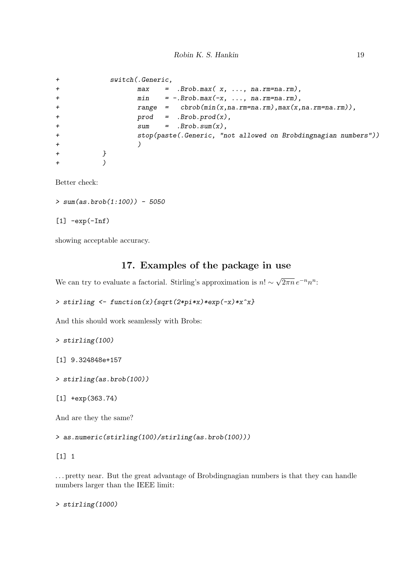```
+ switch(.Generic,
+ max = .Brob.max( x, ..., na.rm=na.rm),
+ min = -.Brob.max(-x, ..., na.rm=na.rm),
+ range = cbrob(min(x,na.rm=na.rm),max(x,na.rm=na.rm)),
+ prod = .Brob.prod(x),
+ sum = .Brob.sum(x),
+ stop(paste(.Generic, "not allowed on Brobdingnagian numbers"))
+ )
+ }
+ )
```
Better check:

 $> sum(as.brob(1:100)) - 5050$ 

 $[1]$  -exp(-Inf)

showing acceptable accuracy.

# 17. Examples of the package in use

We can try to evaluate a factorial. Stirling's approximation is  $n! \sim$  $\sqrt{2\pi n} e^{-n} n^n$ :

```
> stirling <- function(x){sqrt(2*pi*x)*exp(-x)*x^x}
```
And this should work seamlessly with Brobs:

> stirling(100)

[1] 9.324848e+157

> stirling(as.brob(100))

[1] +exp(363.74)

And are they the same?

> as.numeric(stirling(100)/stirling(as.brob(100)))

[1] 1

. . . pretty near. But the great advantage of Brobdingnagian numbers is that they can handle numbers larger than the IEEE limit:

> stirling(1000)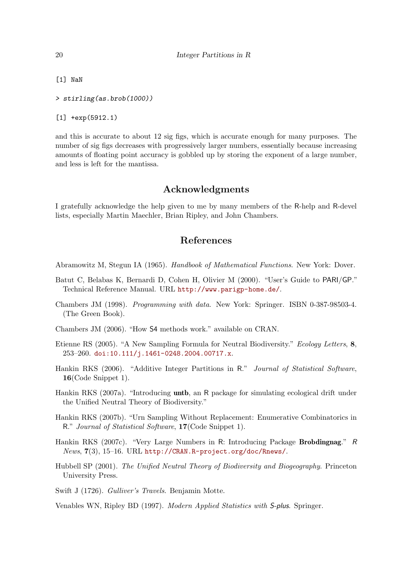[1] NaN

> stirling(as.brob(1000))

#### [1] +exp(5912.1)

and this is accurate to about 12 sig figs, which is accurate enough for many purposes. The number of sig figs decreases with progressively larger numbers, essentially because increasing amounts of floating point accuracy is gobbled up by storing the exponent of a large number, and less is left for the mantissa.

### Acknowledgments

I gratefully acknowledge the help given to me by many members of the R-help and R-devel lists, especially Martin Maechler, Brian Ripley, and John Chambers.

### References

Abramowitz M, Stegun IA (1965). Handbook of Mathematical Functions. New York: Dover.

- Batut C, Belabas K, Bernardi D, Cohen H, Olivier M (2000). "User's Guide to PARI/GP." Technical Reference Manual. URL <http://www.parigp-home.de/>.
- Chambers JM (1998). Programming with data. New York: Springer. ISBN 0-387-98503-4. (The Green Book).
- Chambers JM (2006). "How S4 methods work." available on CRAN.
- Etienne RS (2005). "A New Sampling Formula for Neutral Biodiversity." Ecology Letters, 8, 253–260. [doi:10.111/j.1461-0248.2004.00717.x](http://dx.doi.org/10.111/j.1461-0248.2004.00717.x).
- Hankin RKS (2006). "Additive Integer Partitions in R." Journal of Statistical Software, 16(Code Snippet 1).
- Hankin RKS (2007a). "Introducing untb, an R package for simulating ecological drift under the Unified Neutral Theory of Biodiversity."
- Hankin RKS (2007b). "Urn Sampling Without Replacement: Enumerative Combinatorics in R." Journal of Statistical Software, 17(Code Snippet 1).
- <span id="page-19-0"></span>Hankin RKS (2007c). "Very Large Numbers in R: Introducing Package Brobdingnag." R News, 7(3), 15–16. URL <http://CRAN.R-project.org/doc/Rnews/>.
- Hubbell SP (2001). The Unified Neutral Theory of Biodiversity and Biogeography. Princeton University Press.
- Swift J (1726). Gulliver's Travels. Benjamin Motte.

Venables WN, Ripley BD (1997). Modern Applied Statistics with S-plus. Springer.